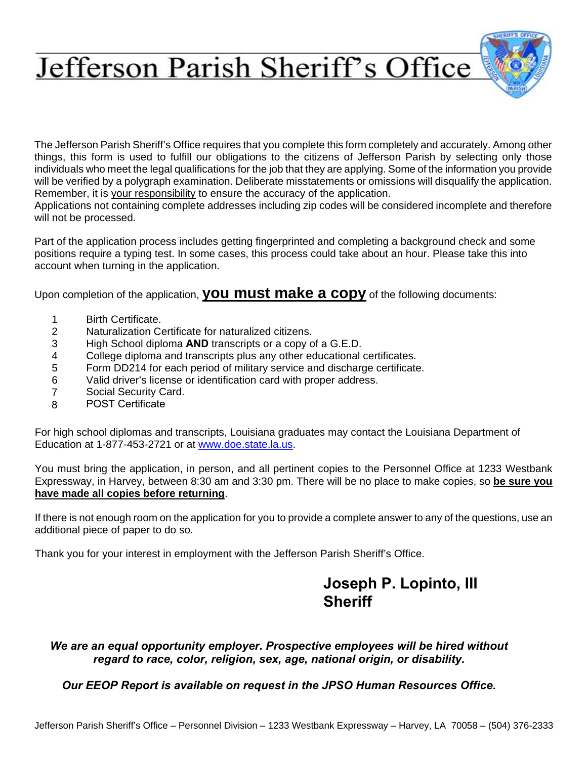# Jefferson Parish Sheriff's Office

The Jefferson Parish Sheriff's Office requires that you complete this form completely and accurately. Among other things, this form is used to fulfill our obligations to the citizens of Jefferson Parish by selecting only those individuals who meet the legal qualifications for the job that they are applying. Some of the information you provide will be verified by a polygraph examination. Deliberate misstatements or omissions will disqualify the application. Remember, it is your responsibility to ensure the accuracy of the application.

Applications not containing complete addresses including zip codes will be considered incomplete and therefore will not be processed.

Part of the application process includes getting fingerprinted and completing a background check and some positions require a typing test. In some cases, this process could take about an hour. Please take this into account when turning in the application.

Upon completion of the application, **you must make a copy** of the following documents:

- 1 Birth Certificate.
- 2 Naturalization Certificate for naturalized citizens.
- 3 High School diploma **AND** transcripts or a copy of a G.E.D.
- 4 College diploma and transcripts plus any other educational certificates.
- 5 Form DD214 for each period of military service and discharge certificate.
- 6 Valid driver's license or identification card with proper address.
- 7 Social Security Card.
- 8 POST Certificate

For high school diplomas and tran[scripts, Louisiana gra](http://www.doe.state.la.us/)duates may contact the Louisiana Department of Education at 1-877-453-2721 or at www.doe.state.la.us.

You must bring the application, in person, and all pertinent copies to the Personnel Office at 1233 Westbank Expressway, in Harvey, between 8:30 am and 3:30 pm. There will be no place to make copies, so **be sure you have made all copies before returning**.

If there is not enough room on the application for you to provide a complete answer to any of the questions, use an additional piece of paper to do so.

Thank you for your interest in employment with the Jefferson Parish Sheriff's Office.

# **Joseph P. Lopinto, III Sheriff**

*We are an equal opportunity employer. Prospective employees will be hired without regard to race, color, religion, sex, age, national origin, or disability.* 

*Our EEOP Report is available on request in the JPSO Human Resources Office.*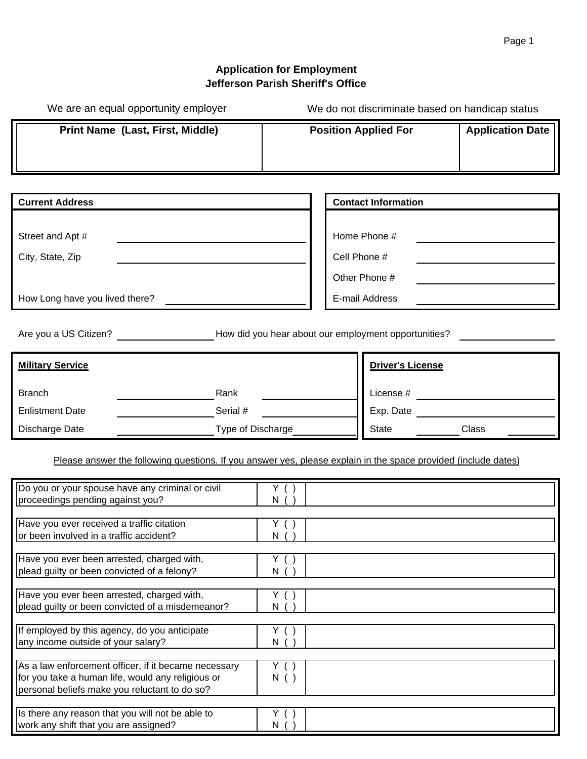We do not discriminate based on handicap status

# **Application for Employment Jefferson Parish Sheriff's Office**

We are an equal opportunity employer

| Print Name (Last, First, Middle)                                                                                                                           |                                   | <b>Position Applied For</b>                                     | <b>Application Date</b> |
|------------------------------------------------------------------------------------------------------------------------------------------------------------|-----------------------------------|-----------------------------------------------------------------|-------------------------|
|                                                                                                                                                            |                                   |                                                                 |                         |
|                                                                                                                                                            |                                   |                                                                 |                         |
| <b>Current Address</b>                                                                                                                                     |                                   | <b>Contact Information</b>                                      |                         |
| Street and Apt #<br>City, State, Zip<br>How Long have you lived there?                                                                                     |                                   | Home Phone #<br>Cell Phone #<br>Other Phone #<br>E-mail Address |                         |
|                                                                                                                                                            |                                   |                                                                 |                         |
| Are you a US Citizen? <b>Example 20 You Are you have all of the Vitalian</b> Are you a US Citizen?                                                         |                                   |                                                                 |                         |
| <b>Military Service</b>                                                                                                                                    |                                   | <b>Driver's License</b>                                         |                         |
| <b>Branch</b><br>Rank                                                                                                                                      |                                   | License # $\qquad \qquad$                                       |                         |
| <b>Enlistment Date</b><br>Serial #                                                                                                                         |                                   | Exp. Date                                                       |                         |
| Type of Discharge<br>Discharge Date                                                                                                                        |                                   | State                                                           | Class                   |
| Please answer the following questions. If you answer yes, please explain in the space provided (include dates)                                             |                                   |                                                                 |                         |
| Do you or your spouse have any criminal or civil<br>proceedings pending against you?                                                                       | Y( )<br>N( )                      |                                                                 |                         |
| Have you ever received a traffic citation<br>or been involved in a traffic accident?                                                                       | Y( )<br>N(                        |                                                                 |                         |
| Have you ever been arrested, charged with,<br>plead guilty or been convicted of a felony?                                                                  | Y.<br>$\left( \quad \right)$<br>N |                                                                 |                         |
| Have you ever been arrested, charged with,<br>plead guilty or been convicted of a misdemeanor?                                                             | Y ( )<br>N                        |                                                                 |                         |
| If employed by this agency, do you anticipate<br>any income outside of your salary?                                                                        | Y ( )<br>N(                       |                                                                 |                         |
| As a law enforcement officer, if it became necessary<br>for you take a human life, would any religious or<br>personal beliefs make you reluctant to do so? | Y( )<br>N( )                      |                                                                 |                         |
| Is there any reason that you will not be able to<br>work any shift that you are assigned?                                                                  | Y( )<br>N (                       |                                                                 |                         |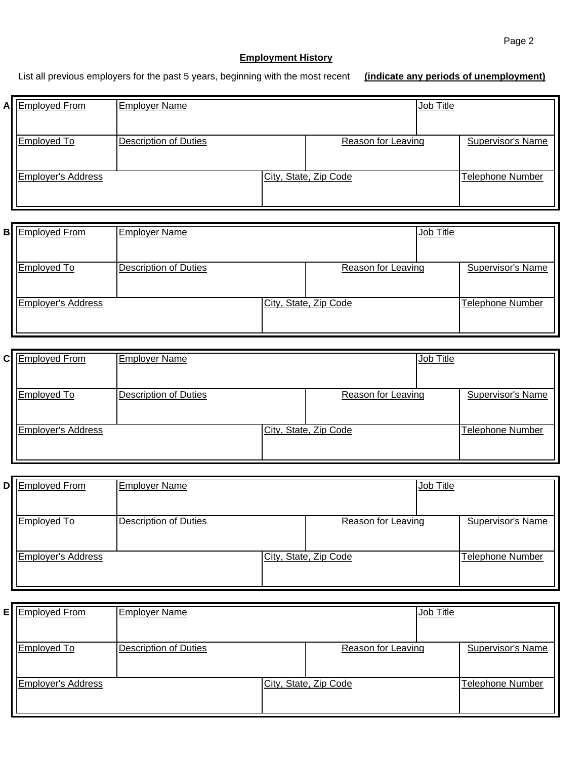#### **Employment History**

List all previous employers for the past 5 years, beginning with the most recent **(indicate any periods of unemployment)**

| A Employed From    | <b>Employer Name</b>         |                           | Job Title |                          |
|--------------------|------------------------------|---------------------------|-----------|--------------------------|
| <b>Employed To</b> | <b>Description of Duties</b> | <b>Reason for Leaving</b> |           | <b>Supervisor's Name</b> |
| Employer's Address |                              | City, State, Zip Code     |           | <b>Telephone Number</b>  |

| <b>B</b> Employed From    | <b>Employer Name</b>  |                       | Job Title |                         |
|---------------------------|-----------------------|-----------------------|-----------|-------------------------|
| Employed To               | Description of Duties | Reason for Leaving    |           | Supervisor's Name       |
| <b>Employer's Address</b> |                       | City, State, Zip Code |           | <b>Telephone Number</b> |

| C Employed From    | <b>Employer Name</b>         |                       | Job Title |                         |
|--------------------|------------------------------|-----------------------|-----------|-------------------------|
| Employed To        | <b>Description of Duties</b> | Reason for Leaving    |           | Supervisor's Name       |
| Employer's Address |                              | City, State, Zip Code |           | <b>Telephone Number</b> |
|                    |                              |                       |           |                         |

| D Employed From    | <b>Employer Name</b>         |                           | Job Title |                          |
|--------------------|------------------------------|---------------------------|-----------|--------------------------|
| <b>Employed To</b> | <b>Description of Duties</b> | <b>Reason for Leaving</b> |           | <b>Supervisor's Name</b> |
| Employer's Address |                              | City, State, Zip Code     |           | <b>Telephone Number</b>  |

| <b>E</b> Employed From | <b>Employer Name</b>         |                       | Job Title |                         |
|------------------------|------------------------------|-----------------------|-----------|-------------------------|
| <b>Employed To</b>     | <b>Description of Duties</b> | Reason for Leaving    |           | Supervisor's Name       |
| Employer's Address     |                              | City, State, Zip Code |           | <b>Telephone Number</b> |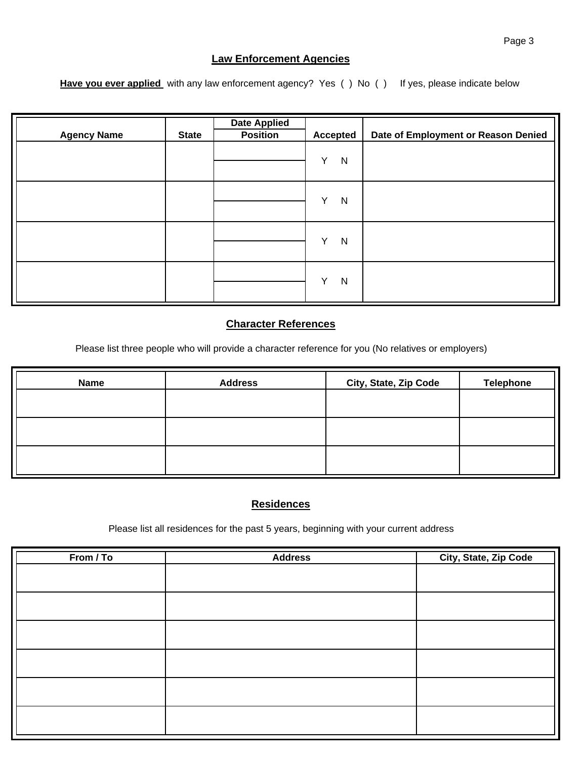#### **Law Enforcement Agencies**

Have you ever applied with any law enforcement agency? Yes () No () If yes, please indicate below

| <b>Agency Name</b> | <b>State</b> | <b>Date Applied</b><br><b>Position</b> | <b>Accepted</b>   | Date of Employment or Reason Denied |
|--------------------|--------------|----------------------------------------|-------------------|-------------------------------------|
|                    |              |                                        | Y<br>$\mathsf{N}$ |                                     |
|                    |              |                                        | Y<br>N            |                                     |
|                    |              |                                        | Y<br>N            |                                     |
|                    |              |                                        | Υ<br>$\mathsf{N}$ |                                     |

#### **Character References**

Please list three people who will provide a character reference for you (No relatives or employers)

| <b>Name</b> | <b>Address</b> | City, State, Zip Code | <b>Telephone</b> |
|-------------|----------------|-----------------------|------------------|
|             |                |                       |                  |
|             |                |                       |                  |
|             |                |                       |                  |
|             |                |                       |                  |
|             |                |                       |                  |

#### **Residences**

Please list all residences for the past 5 years, beginning with your current address

| From / To | <b>Address</b> | City, State, Zip Code |
|-----------|----------------|-----------------------|
|           |                |                       |
|           |                |                       |
|           |                |                       |
|           |                |                       |
|           |                |                       |
|           |                |                       |
|           |                |                       |
|           |                |                       |
|           |                |                       |
|           |                |                       |
|           |                |                       |
|           |                |                       |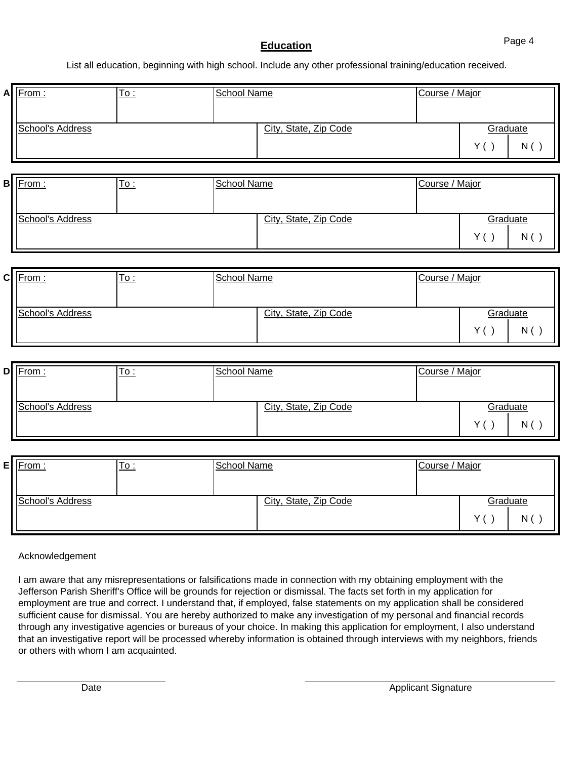### **Education**

List all education, beginning with high school. Include any other professional training/education received.

| $\mathsf{A}$ | From:                   | $\underline{\mathsf{To}}$ : | <b>School Name</b> |                       | Course / Major |                          |
|--------------|-------------------------|-----------------------------|--------------------|-----------------------|----------------|--------------------------|
|              | School's Address        |                             |                    | City, State, Zip Code |                | Graduate<br>Y( )<br>N( ) |
|              | <b>B</b> From:          | <u>To :</u>                 | <b>School Name</b> |                       | Course / Major |                          |
|              | School's Address        |                             |                    | City, State, Zip Code |                | Graduate<br>Y( )<br>N( ) |
| $\mathbf{C}$ | From:                   | <u>To :</u>                 | <b>School Name</b> |                       | Course / Major |                          |
|              | School's Address        |                             |                    | City, State, Zip Code |                | Graduate<br>N( )<br>Y( ) |
|              | $D$ From:               | <u>To :</u>                 | <b>School Name</b> |                       | Course / Major |                          |
|              | <b>School's Address</b> |                             |                    | City, State, Zip Code |                | Graduate<br>N( )<br>Y( ) |
| $\mathsf{E}$ | From:                   | <u>To :</u>                 | School Name        |                       | Course / Major |                          |

| :∎IFrom :        | 10 : | <b>School Name</b> |                       | <b>Course</b> / Major |              |          |
|------------------|------|--------------------|-----------------------|-----------------------|--------------|----------|
| School's Address |      |                    | City, State, Zip Code |                       |              | Graduate |
|                  |      |                    |                       |                       | $\checkmark$ | N        |

Acknowledgement

I am aware that any misrepresentations or falsifications made in connection with my obtaining employment with the Jefferson Parish Sheriff's Office will be grounds for rejection or dismissal. The facts set forth in my application for employment are true and correct. I understand that, if employed, false statements on my application shall be considered sufficient cause for dismissal. You are hereby authorized to make any investigation of my personal and financial records through any investigative agencies or bureaus of your choice. In making this application for employment, I also understand that an investigative report will be processed whereby information is obtained through interviews with my neighbors, friends or others with whom I am acquainted.